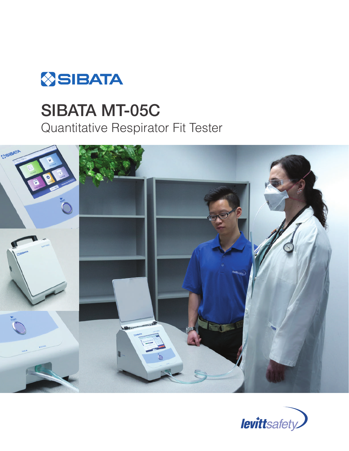

# **SIBATA MT-05C**<br>Quantitative Respirator Fit Tester



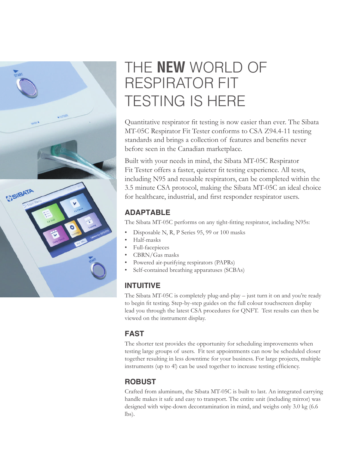

# THE **NEW** WORLD OF RESPIRATOR FIT TESTING IS HERE

Quantitative respirator fit testing is now easier than ever. The Sibata MT-05C Respirator Fit Tester conforms to CSA Z94.4-11 testing standards and brings a collection of features and benefits never before seen in the Canadian marketplace.

Built with your needs in mind, the Sibata MT-05C Respirator Fit Tester offers a faster, quieter fit testing experience. All tests, including N95 and reusable respirators, can be completed within the 3.5 minute CSA protocol, making the Sibata MT-05C an ideal choice for healthcare, industrial, and first responder respirator users.

### **ADAPTABLE**

The Sibata MT-05C performs on any tight-fitting respirator, including N95s:

- Disposable N, R, P Series 95, 99 or 100 masks
- Half-masks
- Full-facepieces
- CBRN/Gas masks
- Powered air-purifying respirators (PAPRs)
- Self-contained breathing apparatuses (SCBAs)

#### **INTUITIVE**

The Sibata MT-05C is completely plug-and-play – just turn it on and you're ready to begin fit testing. Step-by-step guides on the full colour touchscreen display lead you through the latest CSA procedures for QNFT. Test results can then be viewed on the instrument display.

#### **FAST**

The shorter test provides the opportunity for scheduling improvements when testing large groups of users. Fit test appointments can now be scheduled closer together resulting in less downtime for your business. For large projects, multiple instruments (up to 4!) can be used together to increase testing efficiency.

### **ROBUST**

Crafted from aluminum, the Sibata MT-05C is built to last. An integrated carrying handle makes it safe and easy to transport. The entire unit (including mirror) was designed with wipe-down decontamination in mind, and weighs only 3.0 kg (6.6 lbs).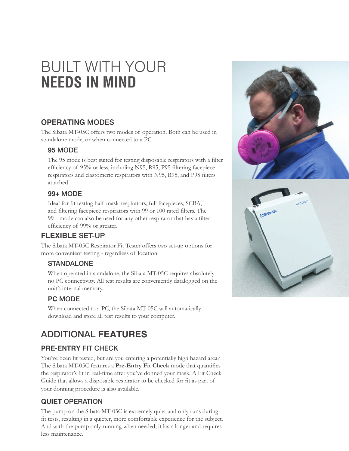# BUILT WITH YOUR **NEEDS IN MIND**

#### **OPERATING** MODES

The Sibata MT-05C offers two modes of operation. Both can be used in standalone mode, or when connected to a PC.

#### **95** MODE

The 95 mode is best suited for testing disposable respirators with a filter efficiency of 95% or less, including N95, R95, P95 filtering facepiece respirators and elastomeric respirators with N95, R95, and P95 filters attached.

#### **99+** MODE

Ideal for fit testing half mask respirators, full facepieces, SCBA, and filtering facepiece respirators with 99 or 100 rated filters. The 99+ mode can also be used for any other respirator that has a filter efficiency of 99% or greater.

#### **FLEXIBLE** SET-UP

The Sibata MT-05C Respirator Fit Tester offers two set-up options for more convenient testing - regardless of location.

#### **STANDALONE**

When operated in standalone, the Sibata MT-05C requires absolutely no PC connectivity. All test results are conveniently datalogged on the unit's internal memory.

#### **PC** MODE

When connected to a PC, the Sibata MT-05C will automatically download and store all test results to your computer.

## ADDITIONAL **FEATURES**

#### **PRE-ENTRY** FIT CHECK

You've been fit tested, but are you entering a potentially high hazard area? The Sibata MT-05C features a **Pre-Entry Fit Check** mode that quantifies the respirator's fit in real-time after you've donned your mask. A Fit Check Guide that allows a disposable respirator to be checked for fit as part of your donning procedure is also available.

#### **QUIET** OPERATION

The pump on the Sibata MT-05C is extremely quiet and only runs during fit tests, resulting in a quieter, more comfortable experience for the subject. And with the pump only running when needed, it lasts longer and requires less maintenance.